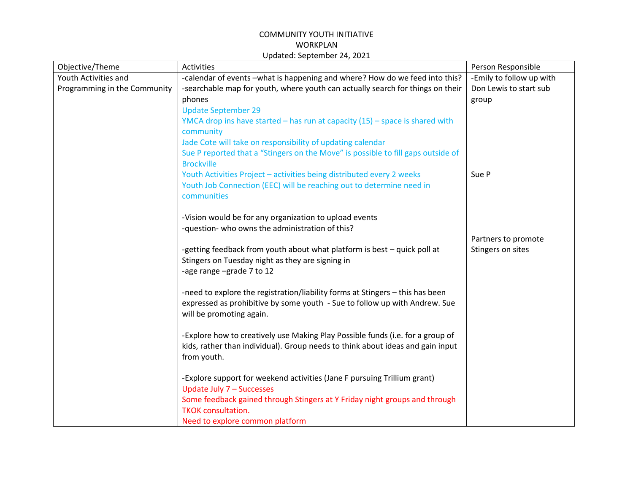| Objective/Theme                                      | Activities                                                                                                                                                                                                                                                       | Person Responsible                                          |
|------------------------------------------------------|------------------------------------------------------------------------------------------------------------------------------------------------------------------------------------------------------------------------------------------------------------------|-------------------------------------------------------------|
| Youth Activities and<br>Programming in the Community | -calendar of events -what is happening and where? How do we feed into this?<br>-searchable map for youth, where youth can actually search for things on their<br>phones<br><b>Update September 29</b>                                                            | -Emily to follow up with<br>Don Lewis to start sub<br>group |
|                                                      | YMCA drop ins have started - has run at capacity (15) - space is shared with<br>community<br>Jade Cote will take on responsibility of updating calendar<br>Sue P reported that a "Stingers on the Move" is possible to fill gaps outside of<br><b>Brockville</b> |                                                             |
|                                                      | Youth Activities Project - activities being distributed every 2 weeks<br>Youth Job Connection (EEC) will be reaching out to determine need in<br>communities                                                                                                     | Sue P                                                       |
|                                                      | -Vision would be for any organization to upload events<br>-question- who owns the administration of this?                                                                                                                                                        |                                                             |
|                                                      | -getting feedback from youth about what platform is best - quick poll at<br>Stingers on Tuesday night as they are signing in<br>-age range -grade 7 to 12                                                                                                        | Partners to promote<br>Stingers on sites                    |
|                                                      | -need to explore the registration/liability forms at Stingers - this has been<br>expressed as prohibitive by some youth - Sue to follow up with Andrew. Sue<br>will be promoting again.                                                                          |                                                             |
|                                                      | -Explore how to creatively use Making Play Possible funds (i.e. for a group of<br>kids, rather than individual). Group needs to think about ideas and gain input<br>from youth.                                                                                  |                                                             |
|                                                      | -Explore support for weekend activities (Jane F pursuing Trillium grant)<br>Update July 7 - Successes                                                                                                                                                            |                                                             |
|                                                      | Some feedback gained through Stingers at Y Friday night groups and through<br><b>TKOK consultation.</b><br>Need to explore common platform                                                                                                                       |                                                             |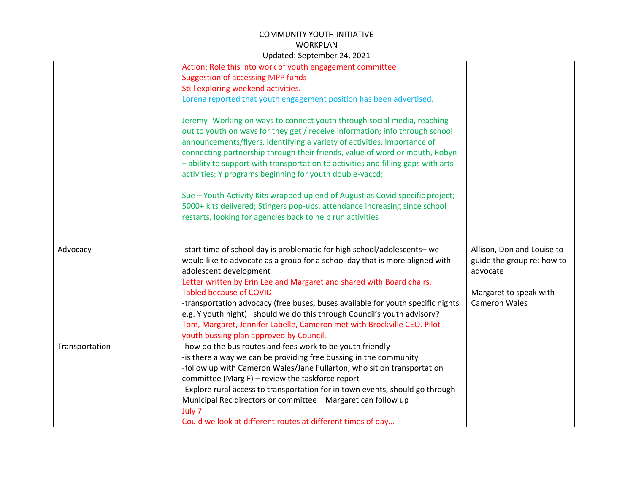|                | Action: Role this into work of youth engagement committee                         |                            |
|----------------|-----------------------------------------------------------------------------------|----------------------------|
|                | <b>Suggestion of accessing MPP funds</b>                                          |                            |
|                | Still exploring weekend activities.                                               |                            |
|                | Lorena reported that youth engagement position has been advertised.               |                            |
|                |                                                                                   |                            |
|                | Jeremy- Working on ways to connect youth through social media, reaching           |                            |
|                | out to youth on ways for they get / receive information; info through school      |                            |
|                | announcements/flyers, identifying a variety of activities, importance of          |                            |
|                | connecting partnership through their friends, value of word or mouth, Robyn       |                            |
|                | - ability to support with transportation to activities and filling gaps with arts |                            |
|                | activities; Y programs beginning for youth double-vaccd;                          |                            |
|                |                                                                                   |                            |
|                | Sue - Youth Activity Kits wrapped up end of August as Covid specific project;     |                            |
|                | 5000+ kits delivered; Stingers pop-ups, attendance increasing since school        |                            |
|                | restarts, looking for agencies back to help run activities                        |                            |
|                |                                                                                   |                            |
| Advocacy       | -start time of school day is problematic for high school/adolescents- we          | Allison, Don and Louise to |
|                | would like to advocate as a group for a school day that is more aligned with      | guide the group re: how to |
|                | adolescent development                                                            | advocate                   |
|                | Letter written by Erin Lee and Margaret and shared with Board chairs.             |                            |
|                | <b>Tabled because of COVID</b>                                                    | Margaret to speak with     |
|                | -transportation advocacy (free buses, buses available for youth specific nights   | <b>Cameron Wales</b>       |
|                | e.g. Y youth night)- should we do this through Council's youth advisory?          |                            |
|                | Tom, Margaret, Jennifer Labelle, Cameron met with Brockville CEO. Pilot           |                            |
|                | youth bussing plan approved by Council.                                           |                            |
| Transportation | -how do the bus routes and fees work to be youth friendly                         |                            |
|                | -is there a way we can be providing free bussing in the community                 |                            |
|                | -follow up with Cameron Wales/Jane Fullarton, who sit on transportation           |                            |
|                | committee (Marg $F$ ) – review the taskforce report                               |                            |
|                | -Explore rural access to transportation for in town events, should go through     |                            |
|                | Municipal Rec directors or committee - Margaret can follow up                     |                            |
|                | July 7                                                                            |                            |
|                | Could we look at different routes at different times of day                       |                            |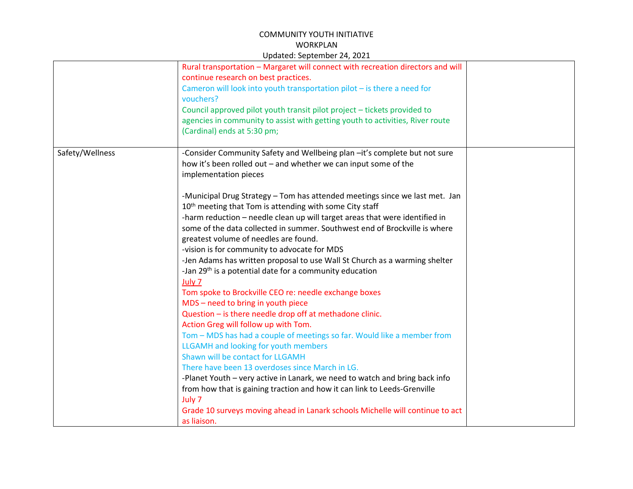|                 | $\frac{1}{2}$                                                                                                           |  |
|-----------------|-------------------------------------------------------------------------------------------------------------------------|--|
|                 | Rural transportation - Margaret will connect with recreation directors and will<br>continue research on best practices. |  |
|                 | Cameron will look into youth transportation pilot - is there a need for                                                 |  |
|                 | vouchers?                                                                                                               |  |
|                 |                                                                                                                         |  |
|                 | Council approved pilot youth transit pilot project - tickets provided to                                                |  |
|                 | agencies in community to assist with getting youth to activities, River route                                           |  |
|                 | (Cardinal) ends at 5:30 pm;                                                                                             |  |
| Safety/Wellness | -Consider Community Safety and Wellbeing plan -it's complete but not sure                                               |  |
|                 | how it's been rolled out - and whether we can input some of the                                                         |  |
|                 | implementation pieces                                                                                                   |  |
|                 |                                                                                                                         |  |
|                 | -Municipal Drug Strategy - Tom has attended meetings since we last met. Jan                                             |  |
|                 | 10 <sup>th</sup> meeting that Tom is attending with some City staff                                                     |  |
|                 | -harm reduction - needle clean up will target areas that were identified in                                             |  |
|                 | some of the data collected in summer. Southwest end of Brockville is where                                              |  |
|                 | greatest volume of needles are found.                                                                                   |  |
|                 | -vision is for community to advocate for MDS                                                                            |  |
|                 | -Jen Adams has written proposal to use Wall St Church as a warming shelter                                              |  |
|                 | -Jan 29 <sup>th</sup> is a potential date for a community education                                                     |  |
|                 | July 7                                                                                                                  |  |
|                 | Tom spoke to Brockville CEO re: needle exchange boxes                                                                   |  |
|                 | MDS - need to bring in youth piece                                                                                      |  |
|                 | Question - is there needle drop off at methadone clinic.                                                                |  |
|                 | Action Greg will follow up with Tom.                                                                                    |  |
|                 | Tom - MDS has had a couple of meetings so far. Would like a member from                                                 |  |
|                 | LLGAMH and looking for youth members                                                                                    |  |
|                 | Shawn will be contact for LLGAMH                                                                                        |  |
|                 | There have been 13 overdoses since March in LG.                                                                         |  |
|                 | -Planet Youth - very active in Lanark, we need to watch and bring back info                                             |  |
|                 | from how that is gaining traction and how it can link to Leeds-Grenville                                                |  |
|                 | July 7                                                                                                                  |  |
|                 | Grade 10 surveys moving ahead in Lanark schools Michelle will continue to act                                           |  |
|                 | as liaison.                                                                                                             |  |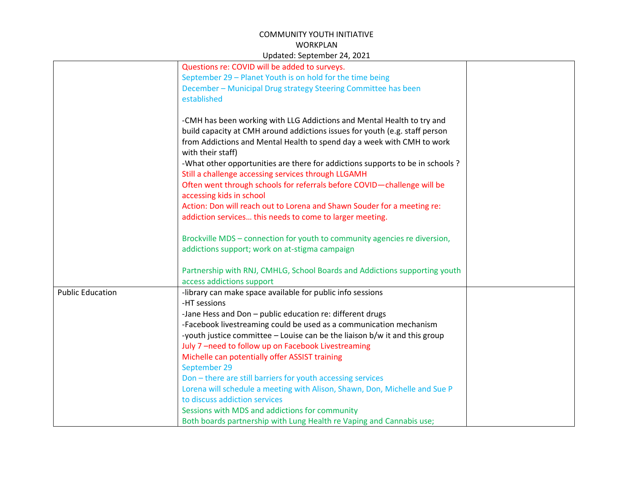|                         | Questions re: COVID will be added to surveys.                                  |  |
|-------------------------|--------------------------------------------------------------------------------|--|
|                         | September 29 - Planet Youth is on hold for the time being                      |  |
|                         | December - Municipal Drug strategy Steering Committee has been                 |  |
|                         | established                                                                    |  |
|                         |                                                                                |  |
|                         | -CMH has been working with LLG Addictions and Mental Health to try and         |  |
|                         | build capacity at CMH around addictions issues for youth (e.g. staff person    |  |
|                         | from Addictions and Mental Health to spend day a week with CMH to work         |  |
|                         | with their staff)                                                              |  |
|                         | -What other opportunities are there for addictions supports to be in schools ? |  |
|                         | Still a challenge accessing services through LLGAMH                            |  |
|                         | Often went through schools for referrals before COVID-challenge will be        |  |
|                         | accessing kids in school                                                       |  |
|                         | Action: Don will reach out to Lorena and Shawn Souder for a meeting re:        |  |
|                         | addiction services this needs to come to larger meeting.                       |  |
|                         |                                                                                |  |
|                         | Brockville MDS - connection for youth to community agencies re diversion,      |  |
|                         | addictions support; work on at-stigma campaign                                 |  |
|                         |                                                                                |  |
|                         | Partnership with RNJ, CMHLG, School Boards and Addictions supporting youth     |  |
|                         | access addictions support                                                      |  |
| <b>Public Education</b> | -library can make space available for public info sessions                     |  |
|                         | -HT sessions                                                                   |  |
|                         | -Jane Hess and Don - public education re: different drugs                      |  |
|                         | -Facebook livestreaming could be used as a communication mechanism             |  |
|                         | -youth justice committee - Louise can be the liaison b/w it and this group     |  |
|                         | July 7-need to follow up on Facebook Livestreaming                             |  |
|                         | Michelle can potentially offer ASSIST training                                 |  |
|                         | September 29                                                                   |  |
|                         | Don - there are still barriers for youth accessing services                    |  |
|                         | Lorena will schedule a meeting with Alison, Shawn, Don, Michelle and Sue P     |  |
|                         | to discuss addiction services                                                  |  |
|                         | Sessions with MDS and addictions for community                                 |  |
|                         | Both boards partnership with Lung Health re Vaping and Cannabis use;           |  |